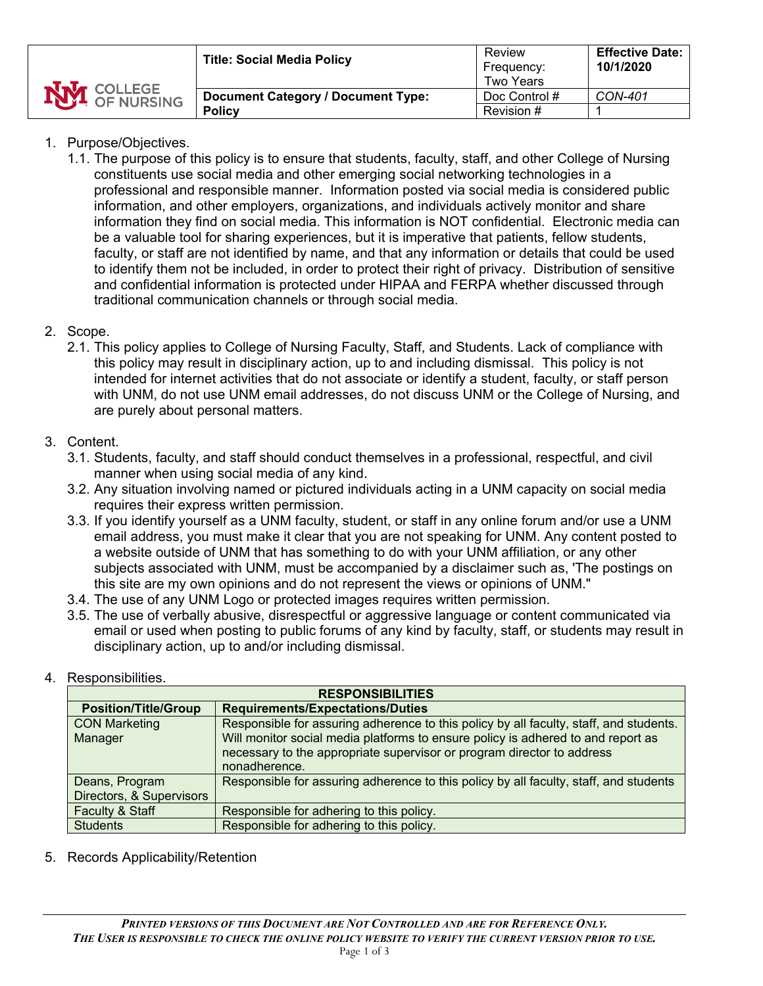| <b>NVI</b> COLLEGE | <b>Title: Social Media Policy</b>                          | Review<br>Frequency:<br>Two Years | <b>Effective Date:</b><br>10/1/2020 |
|--------------------|------------------------------------------------------------|-----------------------------------|-------------------------------------|
|                    | <b>Document Category / Document Type:</b><br><b>Policy</b> | Doc Control #<br>Revision #       | <b>CON-401</b>                      |
|                    |                                                            |                                   |                                     |

## 1. Purpose/Objectives.

1.1. The purpose of this policy is to ensure that students, faculty, staff, and other College of Nursing constituents use social media and other emerging social networking technologies in a professional and responsible manner. Information posted via social media is considered public information, and other employers, organizations, and individuals actively monitor and share information they find on social media. This information is NOT confidential. Electronic media can be a valuable tool for sharing experiences, but it is imperative that patients, fellow students, faculty, or staff are not identified by name, and that any information or details that could be used to identify them not be included, in order to protect their right of privacy. Distribution of sensitive and confidential information is protected under HIPAA and FERPA whether discussed through traditional communication channels or through social media.

### 2. Scope.

2.1. This policy applies to College of Nursing Faculty, Staff, and Students. Lack of compliance with this policy may result in disciplinary action, up to and including dismissal. This policy is not intended for internet activities that do not associate or identify a student, faculty, or staff person with UNM, do not use UNM email addresses, do not discuss UNM or the College of Nursing, and are purely about personal matters.

#### 3. Content.

- 3.1. Students, faculty, and staff should conduct themselves in a professional, respectful, and civil manner when using social media of any kind.
- 3.2. Any situation involving named or pictured individuals acting in a UNM capacity on social media requires their express written permission.
- 3.3. If you identify yourself as a UNM faculty, student, or staff in any online forum and/or use a UNM email address, you must make it clear that you are not speaking for UNM. Any content posted to a website outside of UNM that has something to do with your UNM affiliation, or any other subjects associated with UNM, must be accompanied by a disclaimer such as, 'The postings on this site are my own opinions and do not represent the views or opinions of UNM."
- 3.4. The use of any UNM Logo or protected images requires written permission.
- 3.5. The use of verbally abusive, disrespectful or aggressive language or content communicated via email or used when posting to public forums of any kind by faculty, staff, or students may result in disciplinary action, up to and/or including dismissal.

#### 4. Responsibilities.

| <b>RESPONSIBILITIES</b>     |                                                                                        |  |  |  |
|-----------------------------|----------------------------------------------------------------------------------------|--|--|--|
| <b>Position/Title/Group</b> | <b>Requirements/Expectations/Duties</b>                                                |  |  |  |
| <b>CON Marketing</b>        | Responsible for assuring adherence to this policy by all faculty, staff, and students. |  |  |  |
| Manager                     | Will monitor social media platforms to ensure policy is adhered to and report as       |  |  |  |
|                             | necessary to the appropriate supervisor or program director to address                 |  |  |  |
|                             | nonadherence.                                                                          |  |  |  |
| Deans, Program              | Responsible for assuring adherence to this policy by all faculty, staff, and students  |  |  |  |
| Directors, & Supervisors    |                                                                                        |  |  |  |
| <b>Faculty &amp; Staff</b>  | Responsible for adhering to this policy.                                               |  |  |  |
| <b>Students</b>             | Responsible for adhering to this policy.                                               |  |  |  |

5. Records Applicability/Retention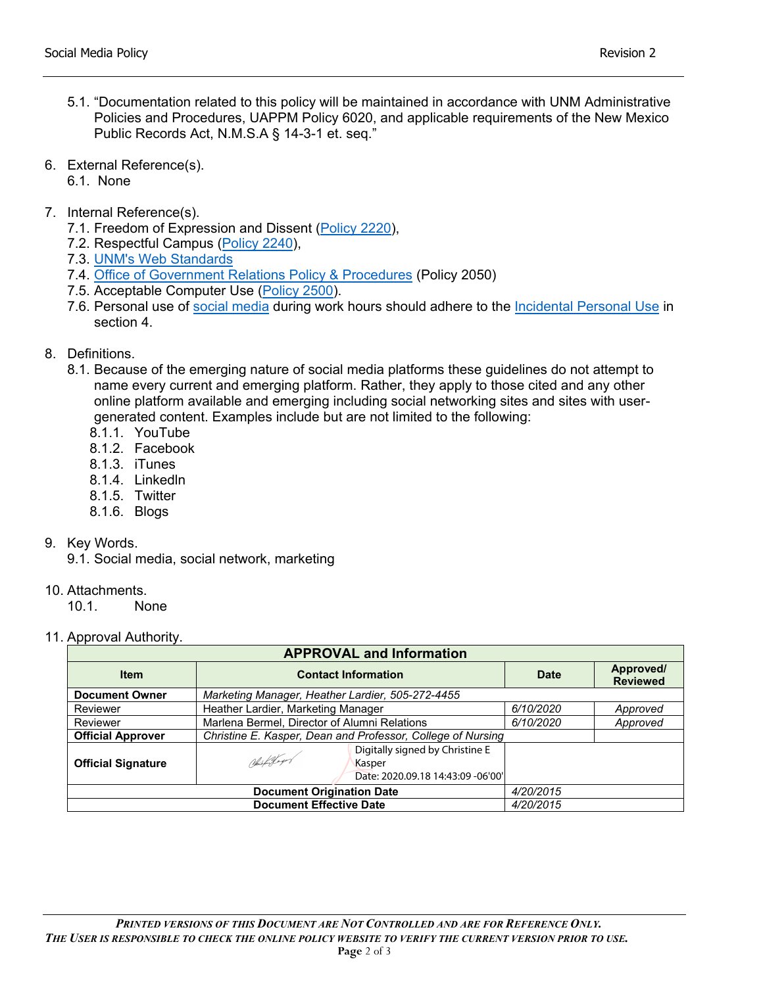- 5.1. "Documentation related to this policy will be maintained in accordance with UNM Administrative Policies and Procedures, UAPPM Policy 6020, and applicable requirements of the New Mexico Public Records Act, N.M.S.A § 14-3-1 et. seq."
- 6. External Reference(s).
	- 6.1. None
- 7. Internal Reference(s).
	- 7.1. Freedom of Expression and Dissent [\(Policy 2220\)](https://policy.unm.edu/university-policies/2000/2220.html),
	- 7.2. Respectful Campus [\(Policy 2240\)](https://policy.unm.edu/university-policies/2000/2240.html),
	- 7.3. [UNM's Web Standards](http://webmaster.unm.edu/web-policy/web-standards/index.html)
	- 7.4. [Office of Government Relations Policy & Procedures](https://policy.unm.edu/university-policies/2000/2050.html) (Policy 2050)
	- 7.5. Acceptable Computer Use [\(Policy 2500\)](https://policy.unm.edu/university-policies/2000/2500.html).
	- 7.6. Personal use of [social media](https://social.unm.edu/guidelines/index.html) during work hours should adhere to the [Incidental Personal Use](http://policy.unm.edu/university-policies/2000/2500.html) in section 4.
- 8. Definitions.
	- 8.1. Because of the emerging nature of social media platforms these guidelines do not attempt to name every current and emerging platform. Rather, they apply to those cited and any other online platform available and emerging including social networking sites and sites with usergenerated content. Examples include but are not limited to the following:
		- 8.1.1. YouTube
		- 8.1.2. Facebook
		- 8.1.3. iTunes
		- 8.1.4. Linkedln
		- 8.1.5. Twitter
		- 8.1.6. Blogs
- 9. Key Words.
	- 9.1. Social media, social network, marketing
- 10. Attachments.

10.1. None

11. Approval Authority.

| <b>APPROVAL and Information</b> |                                                                                               |             |                              |  |  |  |  |
|---------------------------------|-----------------------------------------------------------------------------------------------|-------------|------------------------------|--|--|--|--|
| <b>Item</b>                     | <b>Contact Information</b>                                                                    | <b>Date</b> | Approved/<br><b>Reviewed</b> |  |  |  |  |
| <b>Document Owner</b>           | Marketing Manager, Heather Lardier, 505-272-4455                                              |             |                              |  |  |  |  |
| Reviewer                        | Heather Lardier, Marketing Manager                                                            | 6/10/2020   | Approved                     |  |  |  |  |
| Reviewer                        | Marlena Bermel, Director of Alumni Relations                                                  | 6/10/2020   | Approved                     |  |  |  |  |
| <b>Official Approver</b>        | Christine E. Kasper, Dean and Professor, College of Nursing                                   |             |                              |  |  |  |  |
| <b>Official Signature</b>       | Digitally signed by Christine E<br>Nichtsbeger<br>Kasper<br>Date: 2020.09.18 14:43:09 -06'00' |             |                              |  |  |  |  |
|                                 | 4/20/2015                                                                                     |             |                              |  |  |  |  |
|                                 | 4/20/2015                                                                                     |             |                              |  |  |  |  |